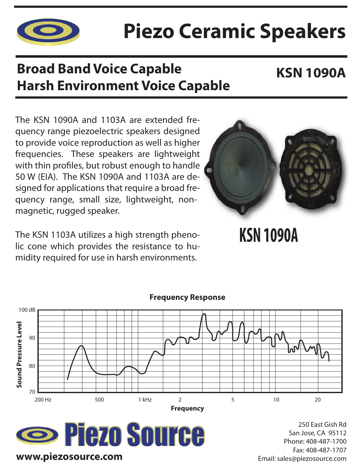

# **Piezo Ceramic Speakers**

## **Broad Band Voice Capable Harsh Environment Voice Capable**

### **KSN 1090A**

The KSN 1090A and 1103A are extended frequency range piezoelectric speakers designed to provide voice reproduction as well as higher frequencies. These speakers are lightweight with thin profiles, but robust enough to handle 50 W (EIA). The KSN 1090A and 1103A are designed for applications that require a broad frequency range, small size, lightweight, nonmagnetic, rugged speaker.

The KSN 1103A utilizes a high strength phenolic cone which provides the resistance to humidity required for use in harsh environments.



**KSN 1090A**



**Frequency Response**

**Sezo Source www.piezosource.com**

250 East Gish Rd San Jose, CA 95112 Phone: 408-487-1700 Fax: 408-487-1707 Email: sales@piezosource.com